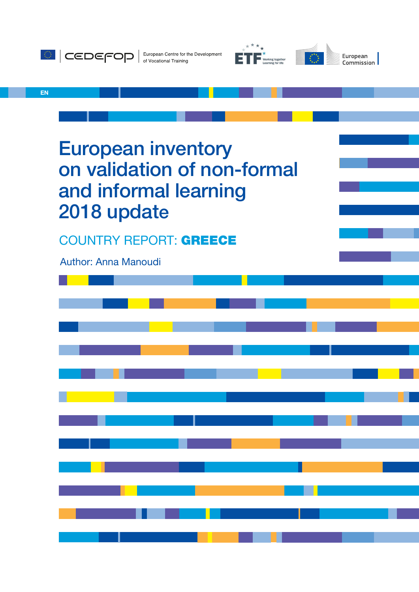

Author: Anna Manoudi

2018 update

COUNTRY REPORT: GREECE

and informal learning

European inventory

on validation of non-formal



European Commission

EN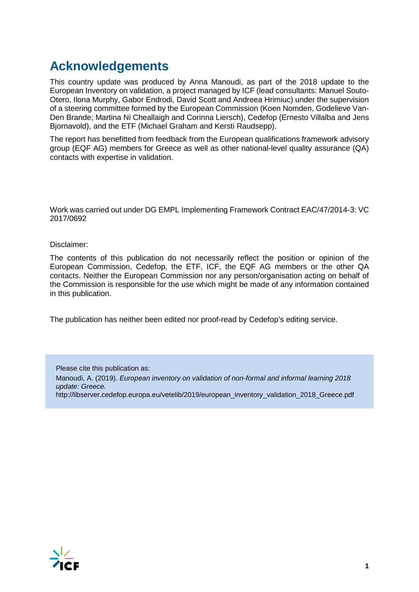# **Acknowledgements**

This country update was produced by Anna Manoudi, as part of the 2018 update to the European Inventory on validation, a project managed by ICF (lead consultants: Manuel Souto-Otero, Ilona Murphy, Gabor Endrodi, David Scott and Andreea Hrimiuc) under the supervision of a steering committee formed by the European Commission (Koen Nomden, Godelieve Van-Den Brande; Martina Ni Cheallaigh and Corinna Liersch), Cedefop (Ernesto Villalba and Jens Bjornavold), and the ETF (Michael Graham and Kersti Raudsepp).

The report has benefitted from feedback from the European qualifications framework advisory group (EQF AG) members for Greece as well as other national-level quality assurance (QA) contacts with expertise in validation.

Work was carried out under DG EMPL Implementing Framework Contract EAC/47/2014-3: VC 2017/0692

Disclaimer:

The contents of this publication do not necessarily reflect the position or opinion of the European Commission, Cedefop, the ETF, ICF, the EQF AG members or the other QA contacts. Neither the European Commission nor any person/organisation acting on behalf of the Commission is responsible for the use which might be made of any information contained in this publication.

The publication has neither been edited nor proof-read by Cedefop's editing service.

Please cite this publication as: Manoudi, A. (2019). *European inventory on validation of non-formal and informal learning 2018 update: Greece.*  http://libserver.cedefop.europa.eu/vetelib/2019/european\_inventory\_validation\_2018\_Greece.pdf

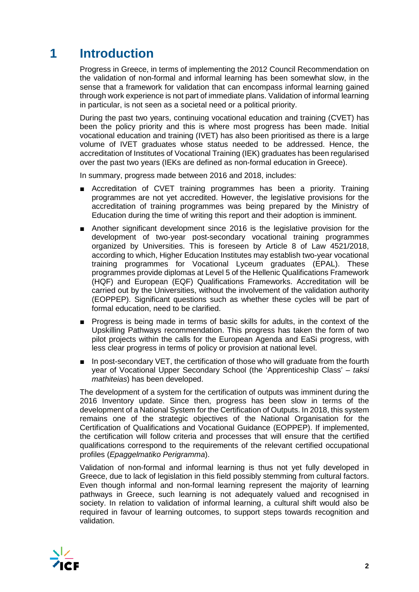# **1 Introduction**

Progress in Greece, in terms of implementing the 2012 Council Recommendation on the validation of non-formal and informal learning has been somewhat slow, in the sense that a framework for validation that can encompass informal learning gained through work experience is not part of immediate plans. Validation of informal learning in particular, is not seen as a societal need or a political priority.

During the past two years, continuing vocational education and training (CVET) has been the policy priority and this is where most progress has been made. Initial vocational education and training (IVET) has also been prioritised as there is a large volume of IVET graduates whose status needed to be addressed. Hence, the accreditation of Institutes of Vocational Training (IEK) graduates has been regularised over the past two years (IEKs are defined as non-formal education in Greece).

In summary, progress made between 2016 and 2018, includes:

- Accreditation of CVET training programmes has been a priority. Training programmes are not yet accredited. However, the legislative provisions for the accreditation of training programmes was being prepared by the Ministry of Education during the time of writing this report and their adoption is imminent.
- Another significant development since 2016 is the legislative provision for the development of two-year post-secondary vocational training programmes organized by Universities. This is foreseen by Article 8 of Law 4521/2018, according to which, Higher Education Institutes may establish two-year vocational training programmes for Vocational Lyceum graduates (EPAL). These programmes provide diplomas at Level 5 of the Hellenic Qualifications Framework (HQF) and European (EQF) Qualifications Frameworks. Accreditation will be carried out by the Universities, without the involvement of the validation authority (EOPPEP). Significant questions such as whether these cycles will be part of formal education, need to be clarified.
- Progress is being made in terms of basic skills for adults, in the context of the Upskilling Pathways recommendation. This progress has taken the form of two pilot projects within the calls for the European Agenda and EaSi progress, with less clear progress in terms of policy or provision at national level.
- In post-secondary VET, the certification of those who will graduate from the fourth year of Vocational Upper Secondary School (the 'Apprenticeship Class' – *taksi mathiteias*) has been developed.

The development of a system for the certification of outputs was imminent during the 2016 Inventory update. Since then, progress has been slow in terms of the development of a National System for the Certification of Outputs. In 2018, this system remains one of the strategic objectives of the National Organisation for the Certification of Qualifications and Vocational Guidance (EOPPEP). If implemented, the certification will follow criteria and processes that will ensure that the certified qualifications correspond to the requirements of the relevant certified occupational profiles (*Epaggelmatiko Perigramma*).

Validation of non-formal and informal learning is thus not yet fully developed in Greece, due to lack of legislation in this field possibly stemming from cultural factors. Even though informal and non-formal learning represent the majority of learning pathways in Greece, such learning is not adequately valued and recognised in society. In relation to validation of informal learning, a cultural shift would also be required in favour of learning outcomes, to support steps towards recognition and validation.

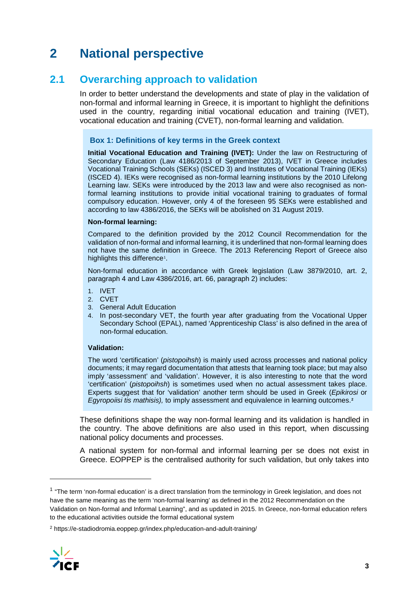# **2 National perspective**

## **2.1 Overarching approach to validation**

In order to better understand the developments and state of play in the validation of non-formal and informal learning in Greece, it is important to highlight the definitions used in the country, regarding initial vocational education and training (IVET), vocational education and training (CVET), non-formal learning and validation.

### **Box 1: Definitions of key terms in the Greek context**

**Initial Vocational Education and Training (IVET):** Under the law on Restructuring of Secondary Education (Law 4186/2013 of September 2013), IVET in Greece includes Vocational Training Schools (SEKs) (ISCED 3) and Institutes of Vocational Training (IEKs) (ISCED 4). IEKs were recognised as non-formal learning institutions by the 2010 Lifelong Learning law. SEKs were introduced by the 2013 law and were also recognised as nonformal learning institutions to provide initial vocational training to graduates of formal compulsory education. However, only 4 of the foreseen 95 SEKs were established and according to law 4386/2016, the SEKs will be abolished on 31 August 2019.

#### **Non-formal learning:**

Compared to the definition provided by the 2012 Council Recommendation for the validation of non-formal and informal learning, it is underlined that non-formal learning does not have the same definition in Greece. The 2013 Referencing Report of Greece also highlights this difference<sup>[1](#page-3-0)</sup>.

Non-formal education in accordance with Greek legislation (Law 3879/2010, art. 2, paragraph 4 and Law 4386/2016, art. 66, paragraph 2) includes:

- 1. IVET
- 2. CVET
- 3. General Adult Education
- 4. In post-secondary VET, the fourth year after graduating from the Vocational Upper Secondary School (EPAL), named 'Apprenticeship Class' is also defined in the area of non-formal education.

#### **Validation:**

The word 'certification' (*pistopoihsh*) is mainly used across processes and national policy documents; it may regard documentation that attests that learning took place; but may also imply 'assessment' and 'validation'. However, it is also interesting to note that the word 'certification' (*pistopoihsh*) is sometimes used when no actual assessment takes place. Experts suggest that for 'validation' another term should be used in Greek (*Epikirosi* or *Egyropoiisi tis mathisis),* to imply assessment and equivalence in learning outcomes.**[2](#page-3-1)**

These definitions shape the way non-formal learning and its validation is handled in the country. The above definitions are also used in this report, when discussing national policy documents and processes.

A national system for non-formal and informal learning per se does not exist in Greece. EOPPEP is the centralised authority for such validation, but only takes into

<span id="page-3-1"></span><sup>2</sup> https://e-stadiodromia.eoppep.gr/index.php/education-and-adult-training/



-

<span id="page-3-0"></span><sup>&</sup>lt;sup>1</sup> "The term 'non-formal education' is a direct translation from the terminology in Greek legislation, and does not have the same meaning as the term 'non-formal learning' as defined in the 2012 Recommendation on the Validation on Non-formal and Informal Learning", and as updated in 2015. In Greece, non-formal education refers to the educational activities outside the formal educational system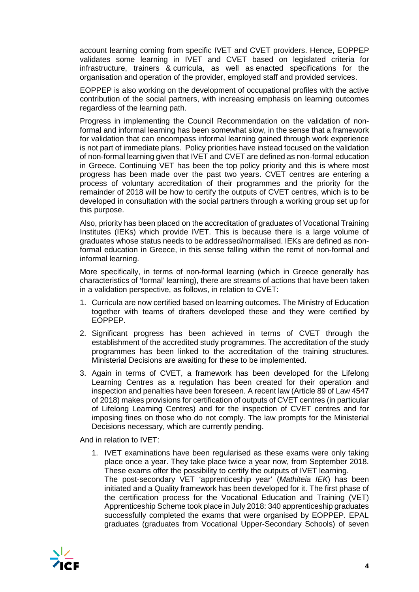account learning coming from specific IVET and CVET providers. Hence, EOPPEP validates some learning in IVET and CVET based on legislated criteria for infrastructure, trainers & curricula, as well as enacted specifications for the organisation and operation of the provider, employed staff and provided services.

EOPPEP is also working on the development of occupational profiles with the active contribution of the social partners, with increasing emphasis on learning outcomes regardless of the learning path.

Progress in implementing the Council Recommendation on the validation of nonformal and informal learning has been somewhat slow, in the sense that a framework for validation that can encompass informal learning gained through work experience is not part of immediate plans. Policy priorities have instead focused on the validation of non-formal learning given that IVET and CVET are defined as non-formal education in Greece. Continuing VET has been the top policy priority and this is where most progress has been made over the past two years. CVET centres are entering a process of voluntary accreditation of their programmes and the priority for the remainder of 2018 will be how to certify the outputs of CVET centres, which is to be developed in consultation with the social partners through a working group set up for this purpose.

Also, priority has been placed on the accreditation of graduates of Vocational Training Institutes (IEKs) which provide IVET. This is because there is a large volume of graduates whose status needs to be addressed/normalised. IEKs are defined as nonformal education in Greece, in this sense falling within the remit of non-formal and informal learning.

More specifically, in terms of non-formal learning (which in Greece generally has characteristics of 'formal' learning), there are streams of actions that have been taken in a validation perspective, as follows, in relation to CVET:

- 1. Curricula are now certified based on learning outcomes. The Ministry of Education together with teams of drafters developed these and they were certified by EOPPEP.
- 2. Significant progress has been achieved in terms of CVET through the establishment of the accredited study programmes. The accreditation of the study programmes has been linked to the accreditation of the training structures. Ministerial Decisions are awaiting for these to be implemented.
- 3. Again in terms of CVET, a framework has been developed for the Lifelong Learning Centres as a regulation has been created for their operation and inspection and penalties have been foreseen. A recent law (Article 89 of Law 4547 of 2018) makes provisions for certification of outputs of CVET centres (in particular of Lifelong Learning Centres) and for the inspection of CVET centres and for imposing fines on those who do not comply. The law prompts for the Ministerial Decisions necessary, which are currently pending.

And in relation to IVET:

1. IVET examinations have been regularised as these exams were only taking place once a year. They take place twice a year now, from September 2018. These exams offer the possibility to certify the outputs of IVET learning. The post-secondary VET 'apprenticeship year' (*Mathiteia IEK*) has been initiated and a Quality framework has been developed for it. The first phase of the certification process for the Vocational Education and Training (VET) Apprenticeship Scheme took place in July 2018: 340 apprenticeship graduates successfully completed the exams that were organised by EOPPEP. EPAL graduates (graduates from Vocational Upper-Secondary Schools) of seven

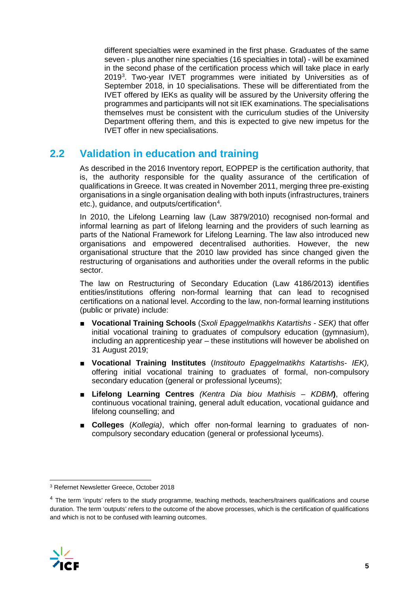different specialties were examined in the first phase. Graduates of the same seven - plus another nine specialties (16 specialties in total) - will be examined in the second phase of the certification process which will take place in early 2019[3](#page-5-0) . Two-year IVET programmes were initiated by Universities as of September 2018, in 10 specialisations. These will be differentiated from the IVET offered by IEKs as quality will be assured by the University offering the programmes and participants will not sit IEK examinations. The specialisations themselves must be consistent with the curriculum studies of the University Department offering them, and this is expected to give new impetus for the IVET offer in new specialisations.

## **2.2 Validation in education and training**

As described in the 2016 Inventory report, EOPPEP is the certification authority, that is, the authority responsible for the quality assurance of the certification of qualifications in Greece. It was created in November 2011, merging three pre-existing organisations in a single organisation dealing with both inputs (infrastructures, trainers etc.), guidance, and outputs/certification<sup>[4](#page-5-1)</sup>.

In 2010, the Lifelong Learning law (Law 3879/2010) recognised non-formal and informal learning as part of lifelong learning and the providers of such learning as parts of the National Framework for Lifelong Learning. The law also introduced new organisations and empowered decentralised authorities. However, the new organisational structure that the 2010 law provided has since changed given the restructuring of organisations and authorities under the overall reforms in the public sector.

The law on Restructuring of Secondary Education (Law 4186/2013) identifies entities/institutions offering non-formal learning that can lead to recognised certifications on a national level. According to the law, non-formal learning institutions (public or private) include:

- **Vocational Training Schools** (*Sxoli Epaggelmatikhs Katartishs - SEK)* that offer initial vocational training to graduates of compulsory education (gymnasium), including an apprenticeship year – these institutions will however be abolished on 31 August 2019;
- **Vocational Training Institutes** (*Institouto Epaggelmatikhs Katartishs- IEK),*  offering initial vocational training to graduates of formal, non-compulsory secondary education (general or professional lyceums);
- **Lifelong Learning Centres** *(Kentra Dia biou Mathisis – KDBM***)**, offering continuous vocational training, general adult education, vocational guidance and lifelong counselling; and
- **Colleges** (*Kollegia)*, which offer non-formal learning to graduates of noncompulsory secondary education (general or professional lyceums).

<span id="page-5-1"></span><sup>&</sup>lt;sup>4</sup> The term 'inputs' refers to the study programme, teaching methods, teachers/trainers qualifications and course duration. The term 'outputs' refers to the outcome of the above processes, which is the certification of qualifications and which is not to be confused with learning outcomes.



<span id="page-5-0"></span> <sup>3</sup> Refernet Newsletter Greece, October 2018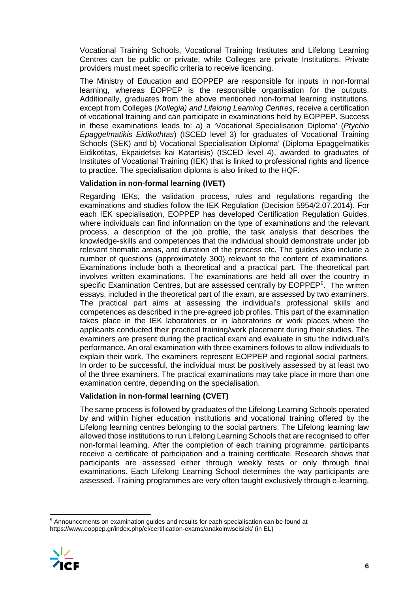Vocational Training Schools, Vocational Training Institutes and Lifelong Learning Centres can be public or private, while Colleges are private Institutions. Private providers must meet specific criteria to receive licencing.

The Ministry of Education and EOPPEP are responsible for inputs in non-formal learning, whereas EOPPEP is the responsible organisation for the outputs. Additionally, graduates from the above mentioned non-formal learning institutions, except from Colleges (*Kollegia) and Lifelong Learning Centres*, receive a certification of vocational training and can participate in examinations held by EOPPEP. Success in these examinations leads to: a) a 'Vocational Specialisation Diploma' (*Ptychio Epaggelmatikis Eidikothtas*) (ISCED level 3) for graduates of Vocational Training Schools (SEK) and b) Vocational Specialisation Diploma' (Diploma Epaggelmatikis Eidikotitas, Ekpaidefsis kai Katartisis) (ISCED level 4), awarded to graduates of Institutes of Vocational Training (IEK) that is linked to professional rights and licence to practice. The specialisation diploma is also linked to the HQF.

### **Validation in non-formal learning (IVET)**

Regarding IEKs, the validation process, rules and regulations regarding the examinations and studies follow the IEK Regulation (Decision 5954/2.07.2014). For each IEK specialisation, EOPPEP has developed Certification Regulation Guides, where individuals can find information on the type of examinations and the relevant process, a description of the job profile, the task analysis that describes the knowledge-skills and competences that the individual should demonstrate under job relevant thematic areas, and duration of the process etc. The guides also include a number of questions (approximately 300) relevant to the content of examinations. Examinations include both a theoretical and a practical part. The theoretical part involves written examinations. The examinations are held all over the country in specific Examination Centres, but are assessed centrally by EOPPEP<sup>[5](#page-6-0)</sup>. The written essays, included in the theoretical part of the exam, are assessed by two examiners. The practical part aims at assessing the individual's professional skills and competences as described in the pre-agreed job profiles. This part of the examination takes place in the IEK laboratories or in laboratories or work places where the applicants conducted their practical training/work placement during their studies. The examiners are present during the practical exam and evaluate in situ the individual's performance. An oral examination with three examiners follows to allow individuals to explain their work. The examiners represent EOPPEP and regional social partners. In order to be successful, the individual must be positively assessed by at least two of the three examiners. The practical examinations may take place in more than one examination centre, depending on the specialisation.

## **Validation in non-formal learning (CVET)**

The same process is followed by graduates of the Lifelong Learning Schools operated by and within higher education institutions and vocational training offered by the Lifelong learning centres belonging to the social partners. The Lifelong learning law allowed those institutions to run Lifelong Learning Schools that are recognised to offer non-formal learning. After the completion of each training programme, participants receive a certificate of participation and a training certificate. Research shows that participants are assessed either through weekly tests or only through final examinations. Each Lifelong Learning School determines the way participants are assessed. Training programmes are very often taught exclusively through e-learning,

<span id="page-6-0"></span> <sup>5</sup> Announcements on examination guides and results for each specialisation can be found at https://www.eoppep.gr/index.php/el/certification-exams/anakoinwseisiek/ (in EL)

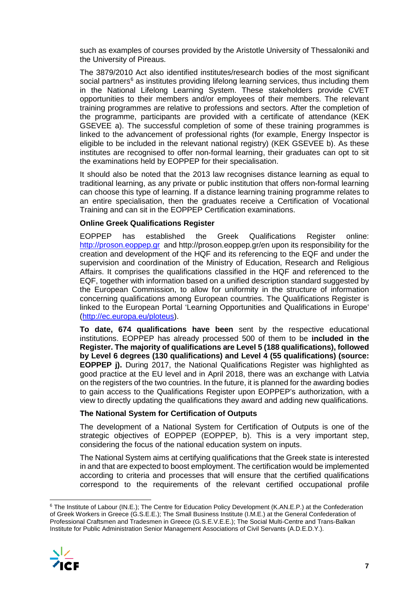such as examples of courses provided by the Aristotle University of Thessaloniki and the University of Pireaus.

The 3879/2010 Act also identified institutes/research bodies of the most significant social partners<sup>[6](#page-7-0)</sup> as institutes providing lifelong learning services, thus including them in the National Lifelong Learning System. These stakeholders provide CVET opportunities to their members and/or employees of their members. The relevant training programmes are relative to professions and sectors. After the completion of the programme, participants are provided with a certificate of attendance (KEK GSEVEE a). The successful completion of some of these training programmes is linked to the advancement of professional rights (for example, Energy Inspector is eligible to be included in the relevant national registry) (KEK GSEVEE b). As these institutes are recognised to offer non-formal learning, their graduates can opt to sit the examinations held by EOPPEP for their specialisation.

It should also be noted that the 2013 law recognises distance learning as equal to traditional learning, as any private or public institution that offers non-formal learning can choose this type of learning. If a distance learning training programme relates to an entire specialisation, then the graduates receive a Certification of Vocational Training and can sit in the EOPPEP Certification examinations.

### **Online Greek Qualifications Register**

EOPPEP has established the Greek Qualifications Register online: [http://proson.eoppep.gr](http://proson.eoppep.gr/) and http://proson.eoppep.gr/en upon its responsibility for the creation and development of the HQF and its referencing to the EQF and under the supervision and coordination of the Ministry of Education, Research and Religious Affairs. It comprises the qualifications classified in the HQF and referenced to the EQF, together with information based on a unified description standard suggested by the European Commission, to allow for uniformity in the structure of information concerning qualifications among European countries. The Qualifications Register is linked to the European Portal 'Learning Opportunities and Qualifications in Europe' [\(http://ec.europa.eu/ploteus\)](http://ec.europa.eu/ploteus).

**To date, 674 qualifications have been** sent by the respective educational institutions. EOPPEP has already processed 500 of them to be **included in the Register. The majority of qualifications are Level 5 (188 qualifications), followed by Level 6 degrees (130 qualifications) and Level 4 (55 qualifications) (source: EOPPEP j).** During 2017, the National Qualifications Register was highlighted as good practice at the EU level and in April 2018, there was an exchange with Latvia on the registers of the two countries. In the future, it is planned for the awarding bodies to gain access to the Qualifications Register upon EOPPEP's authorization, with a view to directly updating the qualifications they award and adding new qualifications.

### **The National System for Certification of Outputs**

The development of a National System for Certification of Outputs is one of the strategic objectives of EOPPEP (EOPPEP, b). This is a very important step, considering the focus of the national education system on inputs.

The National System aims at certifying qualifications that the Greek state is interested in and that are expected to boost employment. The certification would be implemented according to criteria and processes that will ensure that the certified qualifications correspond to the requirements of the relevant certified occupational profile

<span id="page-7-0"></span> <sup>6</sup> The Institute of Labour (IN.E.); The Centre for Education Policy Development (K.AN.E.P.) at the Confederation of Greek Workers in Greece (G.S.E.E.); The Small Business Institute (I.M.E.) at the General Confederation of Professional Craftsmen and Tradesmen in Greece (G.S.E.V.E.E.); The Social Multi-Centre and Trans-Balkan Institute for Public Administration Senior Management Associations of Civil Servants (A.D.E.D.Y.).

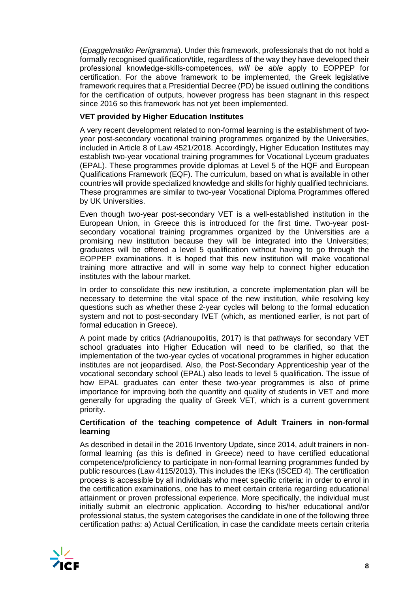(*Epaggelmatiko Perigramma*). Under this framework, professionals that do not hold a formally recognised qualification/title, regardless of the way they have developed their professional knowledge-skills-competences, *will be able* apply to EOPPEP for certification. For the above framework to be implemented, the Greek legislative framework requires that a Presidential Decree (PD) be issued outlining the conditions for the certification of outputs, however progress has been stagnant in this respect since 2016 so this framework has not yet been implemented.

### **VET provided by Higher Education Institutes**

A very recent development related to non-formal learning is the establishment of twoyear post-secondary vocational training programmes organized by the Universities, included in Article 8 of Law 4521/2018. Accordingly, Higher Education Institutes may establish two-year vocational training programmes for Vocational Lyceum graduates (EPAL). These programmes provide diplomas at Level 5 of the HQF and European Qualifications Framework (EQF). The curriculum, based on what is available in other countries will provide specialized knowledge and skills for highly qualified technicians. These programmes are similar to two-year Vocational Diploma Programmes offered by UK Universities.

Even though two-year post-secondary VET is a well-established institution in the European Union, in Greece this is introduced for the first time. Two-year postsecondary vocational training programmes organized by the Universities are a promising new institution because they will be integrated into the Universities; graduates will be offered a level 5 qualification without having to go through the EOPPEP examinations. It is hoped that this new institution will make vocational training more attractive and will in some way help to connect higher education institutes with the labour market.

In order to consolidate this new institution, a concrete implementation plan will be necessary to determine the vital space of the new institution, while resolving key questions such as whether these 2-year cycles will belong to the formal education system and not to post-secondary IVET (which, as mentioned earlier, is not part of formal education in Greece).

A point made by critics (Adrianoupolitis, 2017) is that pathways for secondary VET school graduates into Higher Education will need to be clarified, so that the implementation of the two-year cycles of vocational programmes in higher education institutes are not jeopardised. Also, the Post-Secondary Apprenticeship year of the vocational secondary school (EPAL) also leads to level 5 qualification. The issue of how EPAL graduates can enter these two-year programmes is also of prime importance for improving both the quantity and quality of students in VET and more generally for upgrading the quality of Greek VET, which is a current government priority.

### **Certification of the teaching competence of Adult Trainers in non-formal learning**

As described in detail in the 2016 Inventory Update, since 2014, adult trainers in nonformal learning (as this is defined in Greece) need to have certified educational competence/proficiency to participate in non-formal learning programmes funded by public resources (Law 4115/2013). This includes the IEKs (ISCED 4). The certification process is accessible by all individuals who meet specific criteria: in order to enrol in the certification examinations, one has to meet certain criteria regarding educational attainment or proven professional experience. More specifically, the individual must initially submit an electronic application. According to his/her educational and/or professional status, the system categorises the candidate in one of the following three certification paths: a) Actual Certification, in case the candidate meets certain criteria

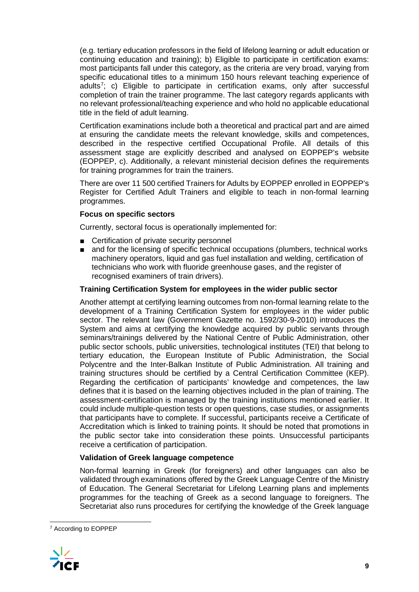(e.g. tertiary education professors in the field of lifelong learning or adult education or continuing education and training); b) Eligible to participate in certification exams: most participants fall under this category, as the criteria are very broad, varying from specific educational titles to a minimum 150 hours relevant teaching experience of adults[7](#page-9-0) ; c) Eligible to participate in certification exams, only after successful completion of train the trainer programme. The last category regards applicants with no relevant professional/teaching experience and who hold no applicable educational title in the field of adult learning.

Certification examinations include both a theoretical and practical part and are aimed at ensuring the candidate meets the relevant knowledge, skills and competences, described in the respective certified Occupational Profile. All details of this assessment stage are explicitly described and analysed on EOPPEP's website (EOPPEP, c). Additionally, a relevant ministerial decision defines the requirements for training programmes for train the trainers.

There are over 11 500 certified Trainers for Adults by EOPPEP enrolled in EOPPEP's Register for Certified Adult Trainers and eligible to teach in non-formal learning programmes.

## **Focus on specific sectors**

Currently, sectoral focus is operationally implemented for:

- Certification of private security personnel
- and for the licensing of specific technical occupations (plumbers, technical works machinery operators, liquid and gas fuel installation and welding, certification of technicians who work with fluoride greenhouse gases, and the register of recognised examiners of train drivers).

### **Training Certification System for employees in the wider public sector**

Another attempt at certifying learning outcomes from non-formal learning relate to the development of a Training Certification System for employees in the wider public sector. The relevant law (Government Gazette no. 1592/30-9-2010) introduces the System and aims at certifying the knowledge acquired by public servants through seminars/trainings delivered by the National Centre of Public Administration, other public sector schools, public universities, technological institutes (TEI) that belong to tertiary education, the European Institute of Public Administration, the Social Polycentre and the Inter-Balkan Institute of Public Administration. All training and training structures should be certified by a Central Certification Committee (KEP). Regarding the certification of participants' knowledge and competences, the law defines that it is based on the learning objectives included in the plan of training. The assessment-certification is managed by the training institutions mentioned earlier. It could include multiple-question tests or open questions, case studies, or assignments that participants have to complete. If successful, participants receive a Certificate of Accreditation which is linked to training points. It should be noted that promotions in the public sector take into consideration these points. Unsuccessful participants receive a certification of participation.

### **Validation of Greek language competence**

Non-formal learning in Greek (for foreigners) and other languages can also be validated through examinations offered by the Greek Language Centre of the Ministry of Education. The General Secretariat for Lifelong Learning plans and implements programmes for the teaching of Greek as a second language to foreigners. The Secretariat also runs procedures for certifying the knowledge of the Greek language

<span id="page-9-0"></span> <sup>7</sup> According to EOPPEP

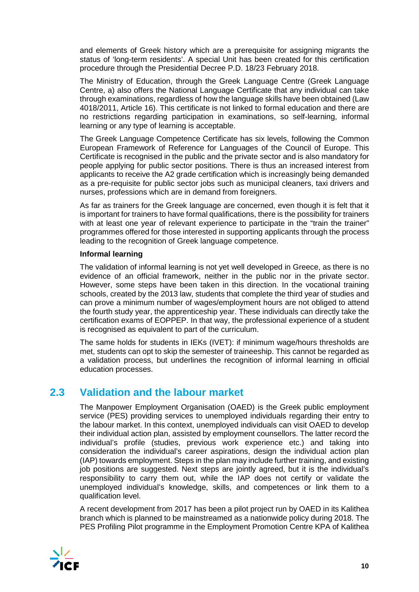and elements of Greek history which are a prerequisite for assigning migrants the status of 'long-term residents'. A special Unit has been created for this certification procedure through the Presidential Decree P.D. 18/23 February 2018.

The Ministry of Education, through the Greek Language Centre (Greek Language Centre, a) also offers the National Language Certificate that any individual can take through examinations, regardless of how the language skills have been obtained (Law 4018/2011, Article 16). This certificate is not linked to formal education and there are no restrictions regarding participation in examinations, so self-learning, informal learning or any type of learning is acceptable.

The Greek Language Competence Certificate has six levels, following the Common European Framework of Reference for Languages of the Council of Europe. This Certificate is recognised in the public and the private sector and is also mandatory for people applying for public sector positions. There is thus an increased interest from applicants to receive the A2 grade certification which is increasingly being demanded as a pre-requisite for public sector jobs such as municipal cleaners, taxi drivers and nurses, professions which are in demand from foreigners.

As far as trainers for the Greek language are concerned, even though it is felt that it is important for trainers to have formal qualifications, there is the possibility for trainers with at least one year of relevant experience to participate in the "train the trainer" programmes offered for those interested in supporting applicants through the process leading to the recognition of Greek language competence.

### **Informal learning**

The validation of informal learning is not yet well developed in Greece, as there is no evidence of an official framework, neither in the public nor in the private sector. However, some steps have been taken in this direction. In the vocational training schools, created by the 2013 law, students that complete the third year of studies and can prove a minimum number of wages/employment hours are not obliged to attend the fourth study year, the apprenticeship year. These individuals can directly take the certification exams of EOPPEP. In that way, the professional experience of a student is recognised as equivalent to part of the curriculum.

The same holds for students in IEKs (IVET): if minimum wage/hours thresholds are met, students can opt to skip the semester of traineeship. This cannot be regarded as a validation process, but underlines the recognition of informal learning in official education processes.

## **2.3 Validation and the labour market**

The Manpower Employment Organisation (OAED) is the Greek public employment service (PES) providing services to unemployed individuals regarding their entry to the labour market. In this context, unemployed individuals can visit OAED to develop their individual action plan, assisted by employment counsellors. The latter record the individual's profile (studies, previous work experience etc.) and taking into consideration the individual's career aspirations, design the individual action plan (IAP) towards employment. Steps in the plan may include further training, and existing job positions are suggested. Next steps are jointly agreed, but it is the individual's responsibility to carry them out, while the IAP does not certify or validate the unemployed individual's knowledge, skills, and competences or link them to a qualification level.

A recent development from 2017 has been a pilot project run by OAED in its Kalithea branch which is planned to be mainstreamed as a nationwide policy during 2018. The PES Profiling Pilot programme in the Employment Promotion Centre KPA of Kalithea

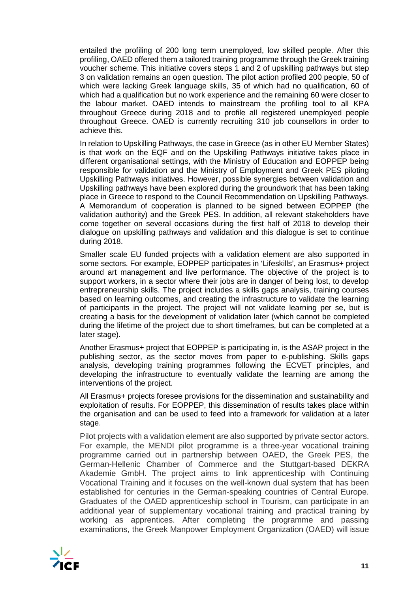entailed the profiling of 200 long term unemployed, low skilled people. After this profiling, OAED offered them a tailored training programme through the Greek training voucher scheme. This initiative covers steps 1 and 2 of upskilling pathways but step 3 on validation remains an open question. The pilot action profiled 200 people, 50 of which were lacking Greek language skills, 35 of which had no qualification, 60 of which had a qualification but no work experience and the remaining 60 were closer to the labour market. OAED intends to mainstream the profiling tool to all KPA throughout Greece during 2018 and to profile all registered unemployed people throughout Greece. OAED is currently recruiting 310 job counsellors in order to achieve this.

In relation to Upskilling Pathways, the case in Greece (as in other EU Member States) is that work on the EQF and on the Upskilling Pathways initiative takes place in different organisational settings, with the Ministry of Education and EOPPEP being responsible for validation and the Ministry of Employment and Greek PES piloting Upskilling Pathways initiatives. However, possible synergies between validation and Upskilling pathways have been explored during the groundwork that has been taking place in Greece to respond to the Council Recommendation on Upskilling Pathways. A Memorandum of cooperation is planned to be signed between EOPPEP (the validation authority) and the Greek PES. In addition, all relevant stakeholders have come together on several occasions during the first half of 2018 to develop their dialogue on upskilling pathways and validation and this dialogue is set to continue during 2018.

Smaller scale EU funded projects with a validation element are also supported in some sectors. For example, EOPPEP participates in 'Lifeskills', an Erasmus+ project around art management and live performance. The objective of the project is to support workers, in a sector where their jobs are in danger of being lost, to develop entrepreneurship skills. The project includes a skills gaps analysis, training courses based on learning outcomes, and creating the infrastructure to validate the learning of participants in the project. The project will not validate learning per se, but is creating a basis for the development of validation later (which cannot be completed during the lifetime of the project due to short timeframes, but can be completed at a later stage).

Another Erasmus+ project that EOPPEP is participating in, is the ASAP project in the publishing sector, as the sector moves from paper to e-publishing. Skills gaps analysis, developing training programmes following the ECVET principles, and developing the infrastructure to eventually validate the learning are among the interventions of the project.

All Erasmus+ projects foresee provisions for the dissemination and sustainability and exploitation of results. For EOPPEP, this dissemination of results takes place within the organisation and can be used to feed into a framework for validation at a later stage.

Pilot projects with a validation element are also supported by private sector actors. For example, the MENDI pilot programme is a three-year vocational training programme carried out in partnership between OAED, the Greek PES, the German-Hellenic Chamber of Commerce and the Stuttgart-based DEKRA Akademie GmbH. The project aims to link apprenticeship with Continuing Vocational Training and it focuses on the well-known dual system that has been established for centuries in the German-speaking countries of Central Europe. Graduates of the OAED apprenticeship school in Tourism, can participate in an additional year of supplementary vocational training and practical training by working as apprentices. After completing the programme and passing examinations, the Greek Manpower Employment Organization (OAED) will issue

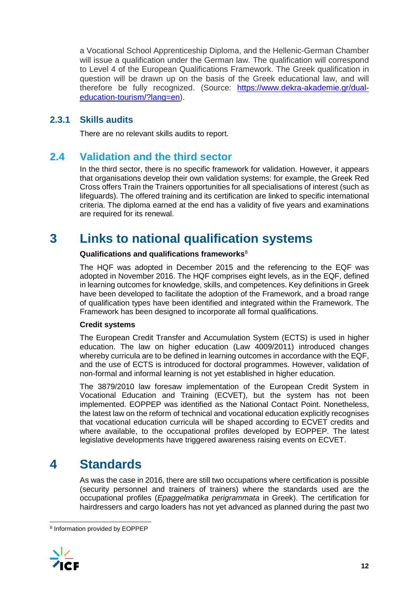a Vocational School Apprenticeship Diploma, and the Hellenic-German Chamber will issue a qualification under the German law. The qualification will correspond to Level 4 of the European Qualifications Framework. The Greek qualification in question will be drawn up on the basis of the Greek educational law, and will therefore be fully recognized. (Source: [https://www.dekra-akademie.gr/dual](https://www.dekra-akademie.gr/dual-education-tourism/?lang=en)[education-tourism/?lang=en\)](https://www.dekra-akademie.gr/dual-education-tourism/?lang=en).

## **2.3.1 Skills audits**

There are no relevant skills audits to report.

## **2.4 Validation and the third sector**

In the third sector, there is no specific framework for validation. However, it appears that organisations develop their own validation systems: for example, the Greek Red Cross offers Train the Trainers opportunities for all specialisations of interest (such as lifeguards). The offered training and its certification are linked to specific international criteria. The diploma earned at the end has a validity of five years and examinations are required for its renewal.

## **3 Links to national qualification systems**

### **Qualifications and qualifications frameworks**[8](#page-12-0)

The HQF was adopted in December 2015 and the referencing to the EQF was adopted in November 2016. The HQF comprises eight levels, as in the EQF, defined in learning outcomes for knowledge, skills, and competences. Key definitions in Greek have been developed to facilitate the adoption of the Framework, and a broad range of qualification types have been identified and integrated within the Framework. The Framework has been designed to incorporate all formal qualifications.

### **Credit systems**

The European Credit Transfer and Accumulation System (ECTS) is used in higher education. The law on higher education (Law 4009/2011) introduced changes whereby curricula are to be defined in learning outcomes in accordance with the EQF, and the use of ECTS is introduced for doctoral programmes. However, validation of non-formal and informal learning is not yet established in higher education.

The 3879/2010 law foresaw implementation of the European Credit System in Vocational Education and Training (ECVET), but the system has not been implemented. EOPPEP was identified as the National Contact Point. Nonetheless, the latest law on the reform of technical and vocational education explicitly recognises that vocational education curricula will be shaped according to ECVET credits and where available, to the occupational profiles developed by EOPPEP. The latest legislative developments have triggered awareness raising events on ECVET.

## **4 Standards**

As was the case in 2016, there are still two occupations where certification is possible (security personnel and trainers of trainers) where the standards used are the occupational profiles (*Epaggelmatika perigrammata* in Greek). The certification for hairdressers and cargo loaders has not yet advanced as planned during the past two

<span id="page-12-0"></span> <sup>8</sup> Information provided by EOPPEP

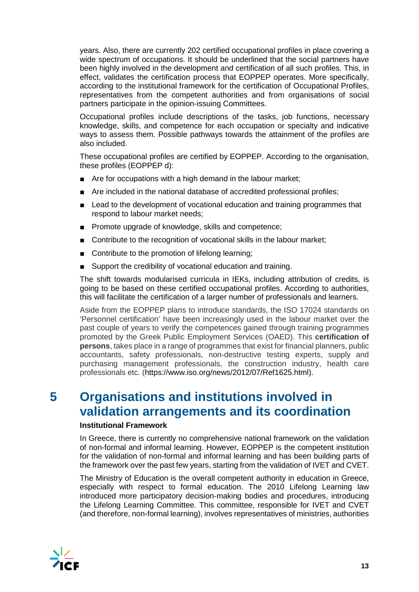years. Also, there are currently 202 certified occupational profiles in place covering a wide spectrum of occupations. It should be underlined that the social partners have been highly involved in the development and certification of all such profiles. This, in effect, validates the certification process that EOPPEP operates. More specifically, according to the institutional framework for the certification of Occupational Profiles, representatives from the competent authorities and from organisations of social partners participate in the opinion-issuing Committees.

Occupational profiles include descriptions of the tasks, job functions, necessary knowledge, skills, and competence for each occupation or specialty and indicative ways to assess them. Possible pathways towards the attainment of the profiles are also included.

These occupational profiles are certified by EOPPEP. According to the organisation, these profiles (EOPPEP d):

- Are for occupations with a high demand in the labour market;
- Are included in the national database of accredited professional profiles;
- Lead to the development of vocational education and training programmes that respond to labour market needs;
- Promote upgrade of knowledge, skills and competence;
- Contribute to the recognition of vocational skills in the labour market;
- Contribute to the promotion of lifelong learning;
- Support the credibility of vocational education and training.

The shift towards modularised curricula in IEKs, including attribution of credits, is going to be based on these certified occupational profiles. According to authorities, this will facilitate the certification of a larger number of professionals and learners.

Aside from the EOPPEP plans to introduce standards, the ISO 17024 standards on 'Personnel certification' have been increasingly used in the labour market over the past couple of years to verify the competences gained through training programmes promoted by the Greek Public Employment Services (OAED). This **certification of persons**, takes place in a range of programmes that exist for financial planners, public accountants, safety professionals, non-destructive testing experts, supply and purchasing management professionals, the construction industry, health care professionals etc. (https://www.iso.org/news/2012/07/Ref1625.html).

## **5 Organisations and institutions involved in validation arrangements and its coordination**

### **Institutional Framework**

In Greece, there is currently no comprehensive national framework on the validation of non-formal and informal learning. However, EOPPEP is the competent institution for the validation of non-formal and informal learning and has been building parts of the framework over the past few years, starting from the validation of IVET and CVET.

The Ministry of Education is the overall competent authority in education in Greece, especially with respect to formal education. The 2010 Lifelong Learning law introduced more participatory decision-making bodies and procedures, introducing the Lifelong Learning Committee. This committee, responsible for IVET and CVET (and therefore, non-formal learning), involves representatives of ministries, authorities

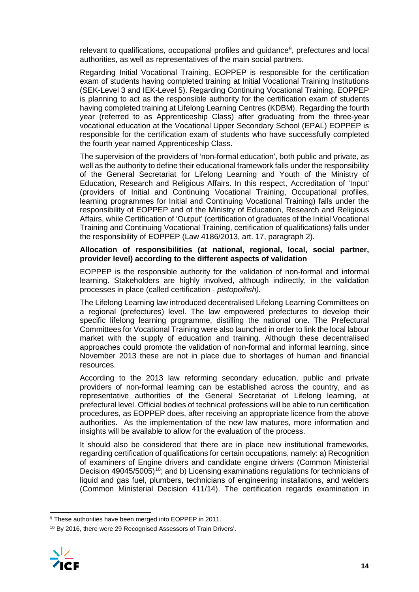relevant to qualifications, occupational profiles and guidance<sup>[9](#page-14-0)</sup>, prefectures and local authorities, as well as representatives of the main social partners.

Regarding Initial Vocational Training, EOPPEP is responsible for the certification exam of students having completed training at Initial Vocational Training Institutions (SEK-Level 3 and IEK-Level 5). Regarding Continuing Vocational Training, EOPPEP is planning to act as the responsible authority for the certification exam of students having completed training at Lifelong Learning Centres (KDBM). Regarding the fourth year (referred to as Apprenticeship Class) after graduating from the three-year vocational education at the Vocational Upper Secondary School (EPAL) EOPPEP is responsible for the certification exam of students who have successfully completed the fourth year named Apprenticeship Class.

The supervision of the providers of 'non-formal education', both public and private, as well as the authority to define their educational framework falls under the responsibility of the General Secretariat for Lifelong Learning and Youth of the Ministry of Education, Research and Religious Affairs. In this respect, Accreditation of 'Input' (providers of Initial and Continuing Vocational Training, Occupational profiles, learning programmes for Initial and Continuing Vocational Training) falls under the responsibility of EOPPEP and of the Ministry of Education, Research and Religious Affairs, while Certification of 'Output' (certification of graduates of the Initial Vocational Training and Continuing Vocational Training, certification of qualifications) falls under the responsibility of EOPPEP (Law 4186/2013, art. 17, paragraph 2).

### **Allocation of responsibilities (at national, regional, local, social partner, provider level) according to the different aspects of validation**

EOPPEP is the responsible authority for the validation of non-formal and informal learning. Stakeholders are highly involved, although indirectly, in the validation processes in place (called certification - *pistopoihsh).*

The Lifelong Learning law introduced decentralised Lifelong Learning Committees on a regional (prefectures) level. The law empowered prefectures to develop their specific lifelong learning programme, distilling the national one. The Prefectural Committees for Vocational Training were also launched in order to link the local labour market with the supply of education and training. Although these decentralised approaches could promote the validation of non-formal and informal learning, since November 2013 these are not in place due to shortages of human and financial resources.

According to the 2013 law reforming secondary education, public and private providers of non-formal learning can be established across the country, and as representative authorities of the General Secretariat of Lifelong learning, at prefectural level. Official bodies of technical professions will be able to run certification procedures, as EOPPEP does, after receiving an appropriate licence from the above authorities. As the implementation of the new law matures, more information and insights will be available to allow for the evaluation of the process.

It should also be considered that there are in place new institutional frameworks, regarding certification of qualifications for certain occupations, namely: a) Recognition of examiners of Engine drivers and candidate engine drivers (Common Ministerial Decision 49045/5005)<sup>[10](#page-14-1)</sup>; and b) Licensing examinations regulations for technicians of liquid and gas fuel, plumbers, technicians of engineering installations, and welders (Common Ministerial Decision 411/14). The certification regards examination in

<span id="page-14-1"></span><span id="page-14-0"></span><sup>10</sup> By 2016, there were 29 Recognised Assessors of Train Drivers'.



<sup>&</sup>lt;sup>9</sup> These authorities have been merged into EOPPEP in 2011.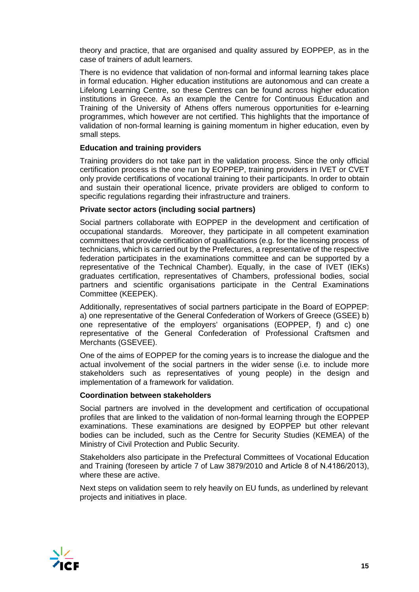theory and practice, that are organised and quality assured by EOPPEP, as in the case of trainers of adult learners.

There is no evidence that validation of non-formal and informal learning takes place in formal education. Higher education institutions are autonomous and can create a Lifelong Learning Centre, so these Centres can be found across higher education institutions in Greece. As an example the Centre for Continuous Education and Training of the University of Athens offers numerous opportunities for e-learning programmes, which however are not certified. This highlights that the importance of validation of non-formal learning is gaining momentum in higher education, even by small steps.

#### **Education and training providers**

Training providers do not take part in the validation process. Since the only official certification process is the one run by EOPPEP, training providers in IVET or CVET only provide certifications of vocational training to their participants. In order to obtain and sustain their operational licence, private providers are obliged to conform to specific regulations regarding their infrastructure and trainers.

### **Private sector actors (including social partners)**

Social partners collaborate with EOPPEP in the development and certification of occupational standards. Moreover, they participate in all competent examination committees that provide certification of qualifications (e.g. for the licensing process of technicians, which is carried out by the Prefectures, a representative of the respective federation participates in the examinations committee and can be supported by a representative of the Technical Chamber). Equally, in the case of IVET (IEKs) graduates certification, representatives of Chambers, professional bodies, social partners and scientific organisations participate in the Central Examinations Committee (KEEPEK).

Additionally, representatives of social partners participate in the Board of EOPPEP: a) one representative of the General Confederation of Workers of Greece (GSEE) b) one representative of the employers' organisations (EOPPEP, f) and c) one representative of the General Confederation of Professional Craftsmen and Merchants (GSΕVEE).

One of the aims of EOPPEP for the coming years is to increase the dialogue and the actual involvement of the social partners in the wider sense (i.e. to include more stakeholders such as representatives of young people) in the design and implementation of a framework for validation.

#### **Coordination between stakeholders**

Social partners are involved in the development and certification of occupational profiles that are linked to the validation of non-formal learning through the EOPPEP examinations. These examinations are designed by EOPPEP but other relevant bodies can be included, such as the Centre for Security Studies (KEMEA) of the Ministry of Civil Protection and Public Security.

Stakeholders also participate in the Prefectural Committees of Vocational Education and Training (foreseen by article 7 of Law 3879/2010 and Article 8 of Ν.4186/2013), where these are active.

Next steps on validation seem to rely heavily on EU funds, as underlined by relevant projects and initiatives in place.

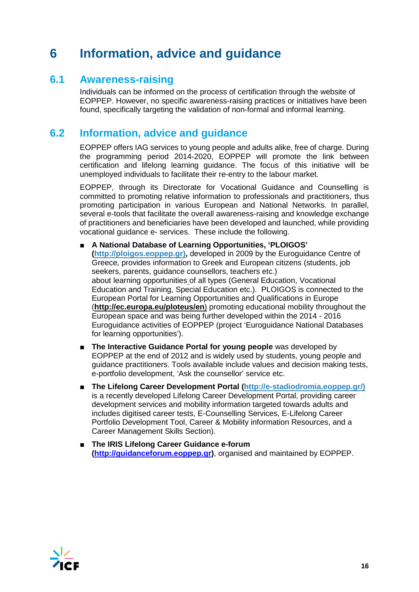# **6 Information, advice and guidance**

## **6.1 Awareness-raising**

Individuals can be informed on the process of certification through the website of EOPPEP. However, no specific awareness-raising practices or initiatives have been found, specifically targeting the validation of non-formal and informal learning.

## **6.2 Information, advice and guidance**

EOPPEP offers IAG services to young people and adults alike, free of charge. During the programming period 2014-2020, EOPPEP will promote the link between certification and lifelong learning guidance. The focus of this initiative will be unemployed individuals to facilitate their re-entry to the labour market.

EOPPEP, through its Directorate for Vocational Guidance and Counselling is committed to promoting relative information to professionals and practitioners, thus promoting participation in various European and National Networks. In parallel, several e-tools that facilitate the overall awareness-raising and knowledge exchange of practitioners and beneficiaries have been developed and launched, while providing vocational guidance e- services. These include the following.

### ■ **A National Database of Learning Opportunities, 'PLOIGOS'**

**[\(http://ploigos.eoppep.gr\)](http://ploigos.eoppep.gr/),** developed in 2009 by the Euroguidance Centre of Greece, provides information to Greek and European citizens (students, job seekers, parents, guidance counsellors, teachers etc.) about learning opportunities [o](http://europa.eu.int/ploteus/portal/searchcustom.jsp?dim6=254&language=en_UK)f all types (General Education, Vocational Education and Training, Special Education etc.). PLOIGOS is connected to the European Portal for Learning Opportunities and Qualifications in Europe (**<http://ec.europa.eu/ploteus/en>**) promoting educational mobility throughout the European space and was being further developed within the 2014 - 2016 Euroguidance activities of EOPPEP (project 'Euroguidance National Databases for learning opportunities').

- **The Interactive Guidance Portal for young people** was developed by EOPPEP at the end of 2012 and is widely used by students, young people and guidance practitioners. Tools available include values and decision making tests, e-portfolio development, 'Ask the counsellor' service etc.
- **The Lifelong Career Development Portal [\(http://e-stadiodromia.eoppep.gr/\)](http://e-stadiodromia.eoppep.gr/)** is a recently developed Lifelong Career Development Portal, providing career development services and mobility information targeted towards adults and includes digitised career tests, E-Counselling Services, E-Lifelong Career Portfolio Development Tool, Career & Mobility information Resources, and a Career Management Skills Section).
- The IRIS Lifelong Career Guidance e-forum **[\(http://guidanceforum.eoppep.gr\)](http://guidanceforum.eoppep.gr/)**, organised and maintained by EOPPEP.

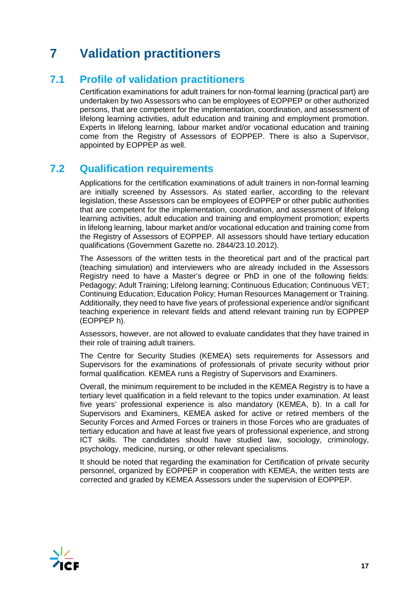# **7 Validation practitioners**

## **7.1 Profile of validation practitioners**

Certification examinations for adult trainers for non-formal learning (practical part) are undertaken by two Assessors who can be employees of EOPPEP or other authorized persons, that are competent for the implementation, coordination, and assessment of lifelong learning activities, adult education and training and employment promotion. Experts in lifelong learning, labour market and/or vocational education and training come from the Registry of Assessors of EOPPEP. There is also a Supervisor, appointed by EOPPEP as well.

## **7.2 Qualification requirements**

Applications for the certification examinations of adult trainers in non-formal learning are initially screened by Assessors. As stated earlier, according to the relevant legislation, these Assessors can be employees of EOPPEP or other public authorities that are competent for the implementation, coordination, and assessment of lifelong learning activities, adult education and training and employment promotion; experts in lifelong learning, labour market and/or vocational education and training come from the Registry of Assessors of EOPPEP. All assessors should have tertiary education qualifications (Government Gazette no. 2844/23.10.2012).

The Assessors of the written tests in the theoretical part and of the practical part (teaching simulation) and interviewers who are already included in the Assessors Registry need to have a Master's degree or PhD in one of the following fields: Pedagogy; Adult Training; Lifelong learning; Continuous Education; Continuous VET; Continuing Education; Education Policy; Human Resources Management or Training. Additionally, they need to have five years of professional experience and/or significant teaching experience in relevant fields and attend relevant training run by EOPPEP (EOPPEP h).

Assessors, however, are not allowed to evaluate candidates that they have trained in their role of training adult trainers.

The Centre for Security Studies (KEMEA) sets requirements for Assessors and Supervisors for the examinations of professionals of private security without prior formal qualification. KEMEA runs a Registry of Supervisors and Examiners.

Overall, the minimum requirement to be included in the KEMEA Registry is to have a tertiary level qualification in a field relevant to the topics under examination. At least five years' professional experience is also mandatory (KEMEA, b). In a call for Supervisors and Examiners, KEMEA asked for active or retired members of the Security Forces and Armed Forces or trainers in those Forces who are graduates of tertiary education and have at least five years of professional experience, and strong ICT skills. The candidates should have studied law, sociology, criminology, psychology, medicine, nursing, or other relevant specialisms.

It should be noted that regarding the examination for Certification of private security personnel, organized by EOPPEP in cooperation with KEMEA, the written tests are corrected and graded by KEMEA Assessors under the supervision of EOPPEP.

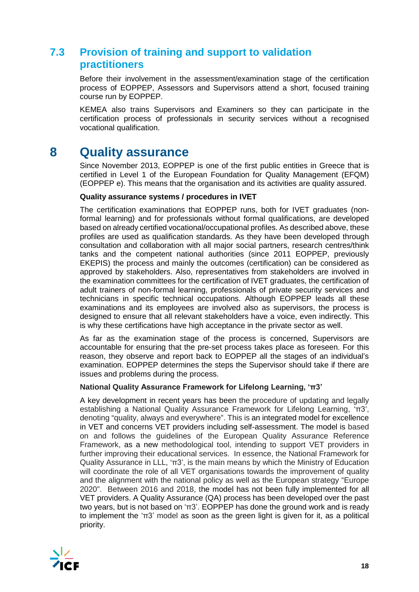## **7.3 Provision of training and support to validation practitioners**

Before their involvement in the assessment/examination stage of the certification process of EOPPEP, Assessors and Supervisors attend a short, focused training course run by EOPPEP.

KEMEA also trains Supervisors and Examiners so they can participate in the certification process of professionals in security services without a recognised vocational qualification.

## **8 Quality assurance**

Since November 2013, EOPPEP is one of the first public entities in Greece that is certified in Level 1 of the European Foundation for Quality Management (EFQM) (EOPPEP e). This means that the organisation and its activities are quality assured.

### **Quality assurance systems / procedures in IVET**

The certification examinations that EOPPEP runs, both for IVET graduates (nonformal learning) and for professionals without formal qualifications, are developed based on already certified vocational/occupational profiles. As described above, these profiles are used as qualification standards. As they have been developed through consultation and collaboration with all major social partners, research centres/think tanks and the competent national authorities (since 2011 EOPPEP, previously EKEPIS) the process and mainly the outcomes (certification) can be considered as approved by stakeholders. Also, representatives from stakeholders are involved in the examination committees for the certification of IVET graduates, the certification of adult trainers of non-formal learning, professionals of private security services and technicians in specific technical occupations. Although EOPPEP leads all these examinations and its employees are involved also as supervisors, the process is designed to ensure that all relevant stakeholders have a voice, even indirectly. This is why these certifications have high acceptance in the private sector as well.

As far as the examination stage of the process is concerned, Supervisors are accountable for ensuring that the pre-set process takes place as foreseen. For this reason, they observe and report back to EOPPEP all the stages of an individual's examination. EOPPEP determines the steps the Supervisor should take if there are issues and problems during the process.

#### **National Quality Assurance Framework for Lifelong Learning, 'π3'**

A key development in recent years has been the procedure of updating and legally establishing a National Quality Assurance Framework for Lifelong Learning, 'π3', denoting "quality, always and everywhere". This is an integrated model for excellence in VET and concerns VET providers including self-assessment. The model is based on and follows the guidelines of the European Quality Assurance Reference Framework, as a new methodological tool, intending to support VET providers in further improving their educational services. In essence, the National Framework for Quality Assurance in LLL, 'π3', is the main means by which the Ministry of Education will coordinate the role of all VET organisations towards the improvement of quality and the alignment with the national policy as well as the European strategy "Europe 2020". Between 2016 and 2018, the model has not been fully implemented for all VET providers. A Quality Assurance (QA) process has been developed over the past two years, but is not based on ' $\pi$ 3'. EOPPEP has done the ground work and is ready to implement the 'π3' model as soon as the green light is given for it, as a political priority.

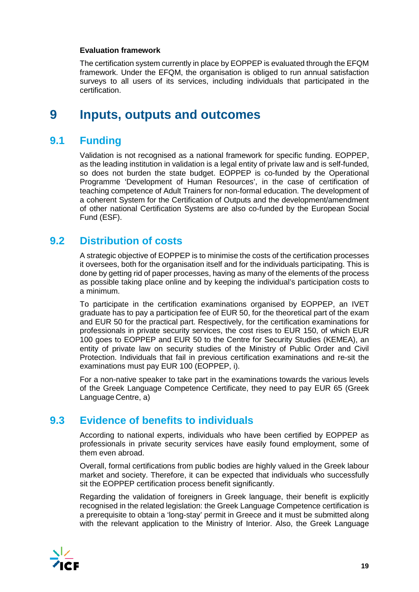### **Evaluation framework**

The certification system currently in place by EOPPEP is evaluated through the EFQM framework. Under the EFQM, the organisation is obliged to run annual satisfaction surveys to all users of its services, including individuals that participated in the certification.

## **9 Inputs, outputs and outcomes**

## **9.1 Funding**

Validation is not recognised as a national framework for specific funding. EOPPEP, as the leading institution in validation is a legal entity of private law and is self-funded, so does not burden the state budget. EOPPEP is co-funded by the Operational Programme 'Development of Human Resources', in the case of certification of teaching competence of Adult Trainers for non-formal education. The development of a coherent System for the Certification of Outputs and the development/amendment of other national Certification Systems are also co-funded by the European Social Fund (ESF).

## **9.2 Distribution of costs**

A strategic objective of EOPPEP is to minimise the costs of the certification processes it oversees, both for the organisation itself and for the individuals participating. This is done by getting rid of paper processes, having as many of the elements of the process as possible taking place online and by keeping the individual's participation costs to a minimum.

To participate in the certification examinations organised by EOPPEP, an IVET graduate has to pay a participation fee of EUR 50, for the theoretical part of the exam and EUR 50 for the practical part. Respectively, for the certification examinations for professionals in private security services, the cost rises to EUR 150, of which EUR 100 goes to EOPPEP and EUR 50 to the Centre for Security Studies (KEMEA), an entity of private law on security studies of the Ministry of Public Order and Civil Protection. Individuals that fail in previous certification examinations and re-sit the examinations must pay EUR 100 (EOPPEP, i).

For a non-native speaker to take part in the examinations towards the various levels of the Greek Language Competence Certificate, they need to pay EUR 65 (Greek Language Centre, a)

## **9.3 Evidence of benefits to individuals**

According to national experts, individuals who have been certified by EOPPEP as professionals in private security services have easily found employment, some of them even abroad.

Overall, formal certifications from public bodies are highly valued in the Greek labour market and society. Therefore, it can be expected that individuals who successfully sit the EOPPEP certification process benefit significantly.

Regarding the validation of foreigners in Greek language, their benefit is explicitly recognised in the related legislation: the Greek Language Competence certification is a prerequisite to obtain a 'long-stay' permit in Greece and it must be submitted along with the relevant application to the Ministry of Interior. Also, the Greek Language

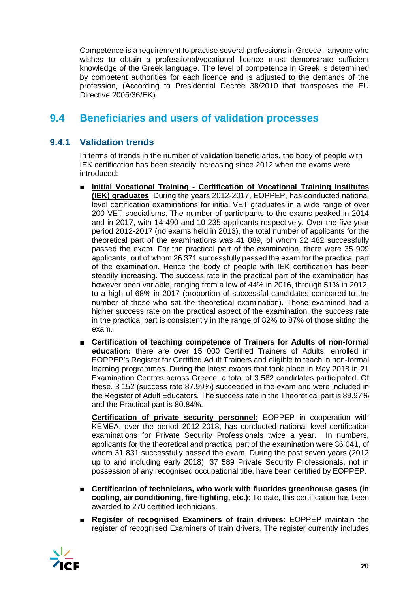Competence is a requirement to practise several professions in Greece - anyone who wishes to obtain a professional/vocational licence must demonstrate sufficient knowledge of the Greek language. The level of competence in Greek is determined by competent authorities for each licence and is adjusted to the demands of the profession, (According to Presidential Decree 38/2010 that transposes the EU Directive 2005/36/ΕΚ).

## **9.4 Beneficiaries and users of validation processes**

## **9.4.1 Validation trends**

In terms of trends in the number of validation beneficiaries, the body of people with IEK certification has been steadily increasing since 2012 when the exams were introduced:

- **Initial Vocational Training Certification of Vocational Training Institutes (IEK) graduates**: During the years 2012-2017, EOPPEP, has conducted national level certification examinations for initial VET graduates in a wide range of over 200 VET specialisms. The number of participants to the exams peaked in 2014 and in 2017, with 14 490 and 10 235 applicants respectively. Over the five-year period 2012-2017 (no exams held in 2013), the total number of applicants for the theoretical part of the examinations was 41 889, of whom 22 482 successfully passed the exam. For the practical part of the examination, there were 35 909 applicants, out of whom 26 371 successfully passed the exam for the practical part of the examination. Hence the body of people with IEK certification has been steadily increasing. The success rate in the practical part of the examination has however been variable, ranging from a low of 44% in 2016, through 51% in 2012, to a high of 68% in 2017 (proportion of successful candidates compared to the number of those who sat the theoretical examination). Those examined had a higher success rate on the practical aspect of the examination, the success rate in the practical part is consistently in the range of 82% to 87% of those sitting the exam.
- Certification of teaching competence of Trainers for Adults of non-formal **education:** there are over 15 000 Certified Trainers of Adults, enrolled in EOPPEP's Register for Certified Adult Trainers and eligible to teach in non-formal learning programmes. During the latest exams that took place in May 2018 in 21 Examination Centres across Greece, a total of 3 582 candidates participated. Of these, 3 152 (success rate 87.99%) succeeded in the exam and were included in the Register of Adult Educators. The success rate in the Theoretical part is 89.97% and the Practical part is 80.84%.

**Certification of private security personnel:** EOPPEP in cooperation with KEMEA, over the period 2012-2018, has conducted national level certification examinations for Private Security Professionals twice a year. In numbers, applicants for the theoretical and practical part of the examination were 36 041, of whom 31 831 successfully passed the exam. During the past seven years (2012 up to and including early 2018), 37 589 Private Security Professionals, not in possession of any recognised occupational title, have been certified by EOPPEP.

- Certification of technicians, who work with fluorides greenhouse gases (in **cooling, air conditioning, fire-fighting, etc.):** To date, this certification has been awarded to 270 certified technicians.
- **Register of recognised Examiners of train drivers: EOPPEP maintain the** register of recognised Examiners of train drivers. The register currently includes

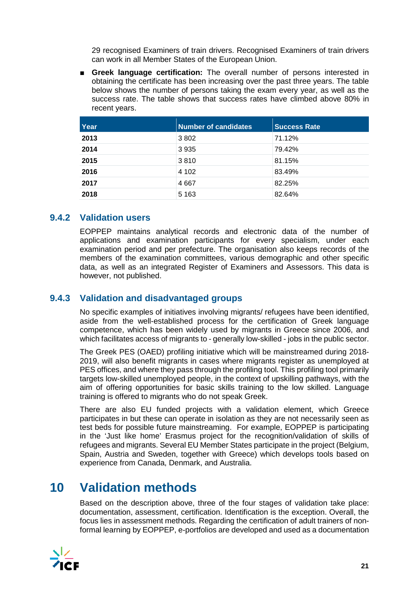29 recognised Examiners of train drivers. Recognised Examiners of train drivers can work in all Member States of the European Union.

■ **Greek language certification:** The overall number of persons interested in obtaining the certificate has been increasing over the past three years. The table below shows the number of persons taking the exam every year, as well as the success rate. The table shows that success rates have climbed above 80% in recent years.

| Year | <b>Number of candidates</b> | <b>Success Rate</b> |
|------|-----------------------------|---------------------|
| 2013 | 3802                        | 71.12%              |
| 2014 | 3935                        | 79.42%              |
| 2015 | 3810                        | 81.15%              |
| 2016 | 4 1 0 2                     | 83.49%              |
| 2017 | 4667                        | 82.25%              |
| 2018 | 5 1 6 3                     | 82.64%              |

## **9.4.2 Validation users**

EOPPEP maintains analytical records and electronic data of the number of applications and examination participants for every specialism, under each examination period and per prefecture. The organisation also keeps records of the members of the examination committees, various demographic and other specific data, as well as an integrated Register of Examiners and Assessors. This data is however, not published.

## **9.4.3 Validation and disadvantaged groups**

No specific examples of initiatives involving migrants/ refugees have been identified, aside from the well-established process for the certification of Greek language competence, which has been widely used by migrants in Greece since 2006, and which facilitates access of migrants to - generally low-skilled - jobs in the public sector.

The Greek PES (OAED) profiling initiative which will be mainstreamed during 2018- 2019, will also benefit migrants in cases where migrants register as unemployed at PES offices, and where they pass through the profiling tool. This profiling tool primarily targets low-skilled unemployed people, in the context of upskilling pathways, with the aim of offering opportunities for basic skills training to the low skilled. Language training is offered to migrants who do not speak Greek.

There are also EU funded projects with a validation element, which Greece participates in but these can operate in isolation as they are not necessarily seen as test beds for possible future mainstreaming. For example, EOPPEP is participating in the 'Just like home' Erasmus project for the recognition/validation of skills of refugees and migrants. Several EU Member States participate in the project (Belgium, Spain, Austria and Sweden, together with Greece) which develops tools based on experience from Canada, Denmark, and Australia.

## **10 Validation methods**

Based on the description above, three of the four stages of validation take place: documentation, assessment, certification. Identification is the exception. Overall, the focus lies in assessment methods. Regarding the certification of adult trainers of nonformal learning by EOPPEP, e-portfolios are developed and used as a documentation

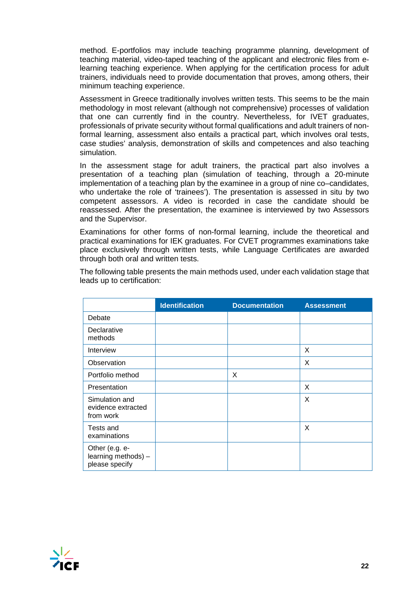method. E-portfolios may include teaching programme planning, development of teaching material, video-taped teaching of the applicant and electronic files from elearning teaching experience. When applying for the certification process for adult trainers, individuals need to provide documentation that proves, among others, their minimum teaching experience.

Assessment in Greece traditionally involves written tests. This seems to be the main methodology in most relevant (although not comprehensive) processes of validation that one can currently find in the country. Nevertheless, for IVET graduates, professionals of private security without formal qualifications and adult trainers of nonformal learning, assessment also entails a practical part, which involves oral tests, case studies' analysis, demonstration of skills and competences and also teaching simulation.

In the assessment stage for adult trainers, the practical part also involves a presentation of a teaching plan (simulation of teaching, through a 20-minute implementation of a teaching plan by the examinee in a group of nine co–candidates, who undertake the role of 'trainees'). The presentation is assessed in situ by two competent assessors. A video is recorded in case the candidate should be reassessed. After the presentation, the examinee is interviewed by two Assessors and the Supervisor.

Examinations for other forms of non-formal learning, include the theoretical and practical examinations for IEK graduates. For CVET programmes examinations take place exclusively through written tests, while Language Certificates are awarded through both oral and written tests.

|                                                         | <b>Identification</b> | <b>Documentation</b> | <b>Assessment</b> |
|---------------------------------------------------------|-----------------------|----------------------|-------------------|
| Debate                                                  |                       |                      |                   |
| Declarative<br>methods                                  |                       |                      |                   |
| Interview                                               |                       |                      | X                 |
| Observation                                             |                       |                      | X                 |
| Portfolio method                                        |                       | X                    |                   |
| Presentation                                            |                       |                      | X                 |
| Simulation and<br>evidence extracted<br>from work       |                       |                      | X                 |
| Tests and<br>examinations                               |                       |                      | X                 |
| Other (e.g. e-<br>learning methods) -<br>please specify |                       |                      |                   |

The following table presents the main methods used, under each validation stage that leads up to certification:

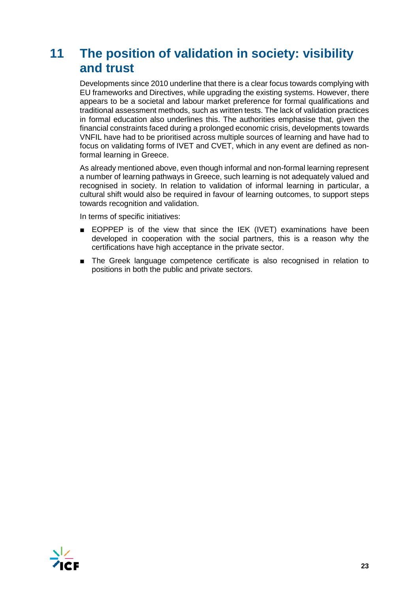# **11 The position of validation in society: visibility and trust**

Developments since 2010 underline that there is a clear focus towards complying with EU frameworks and Directives, while upgrading the existing systems. However, there appears to be a societal and labour market preference for formal qualifications and traditional assessment methods, such as written tests. The lack of validation practices in formal education also underlines this. The authorities emphasise that, given the financial constraints faced during a prolonged economic crisis, developments towards VNFIL have had to be prioritised across multiple sources of learning and have had to focus on validating forms of IVET and CVET, which in any event are defined as nonformal learning in Greece.

As already mentioned above, even though informal and non-formal learning represent a number of learning pathways in Greece, such learning is not adequately valued and recognised in society. In relation to validation of informal learning in particular, a cultural shift would also be required in favour of learning outcomes, to support steps towards recognition and validation.

In terms of specific initiatives:

- EOPPEP is of the view that since the IEK (IVET) examinations have been developed in cooperation with the social partners, this is a reason why the certifications have high acceptance in the private sector.
- The Greek language competence certificate is also recognised in relation to positions in both the public and private sectors.

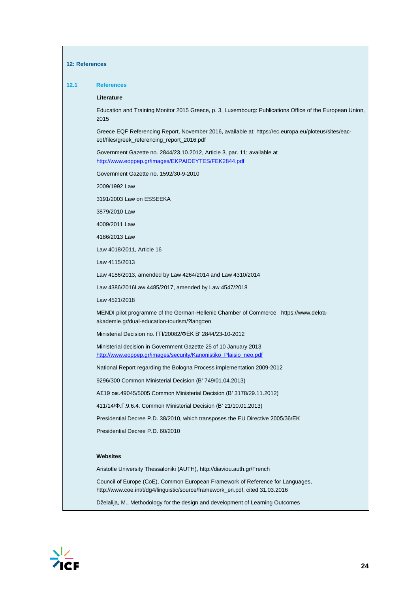#### **12: References**

#### **12.1 References**

#### **Literature**

Education and Training Monitor 2015 Greece, p. 3, Luxembourg: Publications Office of the European Union, 2015

Greece EQF Referencing Report, November 2016, available at: https://ec.europa.eu/ploteus/sites/eaceqf/files/greek\_referencing\_report\_2016.pdf

Government Gazette no. 2844/23.10.2012, Article 3, par. 11; available at <http://www.eoppep.gr/images/EKPAIDEYTES/FEK2844.pdf>

Government Gazette no. 1592/30-9-2010

2009/1992 Law

3191/2003 Law on ESSEEKA

3879/2010 Law

4009/2011 Law

4186/2013 Law

Law 4018/2011, Article 16

Law 4115/2013

Law 4186/2013, amended by Law 4264/2014 and Law 4310/2014

Law 4386/2016Law 4485/2017, amended by Law 4547/2018

Law 4521/2018

MENDI pilot programme of the German-Hellenic Chamber of Commerce https://www.dekraakademie.gr/dual-education-tourism/?lang=en

Ministerial Decision no. ΓΠ/20082/ΦΕΚ Β' 2844/23-10-2012

Ministerial decision in Government Gazette 25 of 10 January 2013 [http://www.eoppep.gr/images/security/Kanonistiko\\_Plaisio\\_neo.pdf](http://www.eoppep.gr/images/security/Kanonistiko_Plaisio_neo.pdf)

National Report regarding the Bologna Process implementation 2009-2012

9296/300 Common Ministerial Decision (B' 749/01.04.2013)

ΑΣ19 οικ.49045/5005 Common Ministerial Decision (Β' 3178/29.11.2012)

411/14/Φ.Γ.9.6.4. Common Ministerial Decision (Β' 21/10.01.2013)

Presidential Decree P.D. 38/2010, which transposes the EU Directive 2005/36/ΕΚ

Presidential Decree P.D. 60/2010

#### **Websites**

Aristotle University Thessaloniki (AUTH), http://diaviou.auth.gr/French

Council of Europe (CoE), Common European Framework of Reference for Languages, http://www.coe.int/t/dg4/linguistic/source/framework\_en.pdf, cited 31.03.2016

Dželalija, M., Methodology for the design and development of Learning Outcomes

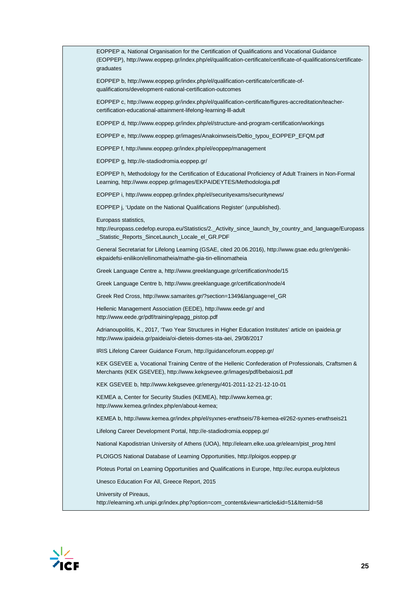EOPPEP a, National Organisation for the Certification of Qualifications and Vocational Guidance (EOPPEP), http://www.eoppep.gr/index.php/el/qualification-certificate/certificate-of-qualifications/certificategraduates EOPPEP b, http://www.eoppep.gr/index.php/el/qualification-certificate/certificate-ofqualifications/development-national-certification-outcomes EOPPEP c, http://www.eoppep.gr/index.php/el/qualification-certificate/figures-accreditation/teachercertification-educational-attainment-lifelong-learning-lll-adult EOPPEP d, http://www.eoppep.gr/index.php/el/structure-and-program-certification/workings EOPPEP e, http://www.eoppep.gr/images/Anakoinwseis/Deltio\_typou\_EOPPEP\_EFQM.pdf EOPPEP f, http://www.eoppep.gr/index.php/el/eoppep/management EOPPEP g, http://e-stadiodromia.eoppep.gr/ EOPPEP h, Methodology for the Certification of Educational Proficiency of Adult Trainers in Non-Formal Learning, http://www.eoppep.gr/images/EKPAIDEYTES/Methodologia.pdf EOPPEP i, http://www.eoppep.gr/index.php/el/securityexams/securitynews/ EOPPEP j, 'Update on the National Qualifications Register' (unpublished). Europass statistics, http://europass.cedefop.europa.eu/Statistics/2.\_Activity\_since\_launch\_by\_country\_and\_language/Europass Statistic Reports SinceLaunch Locale el GR.PDF General Secretariat for Lifelong Learning (GSAE, cited 20.06.2016), http://www.gsae.edu.gr/en/genikiekpaidefsi-enilikon/ellinomatheia/mathe-gia-tin-ellinomatheia Greek Language Centre a, http://www.greeklanguage.gr/certification/node/15 Greek Language Centre b, http://www.greeklanguage.gr/certification/node/4 Greek Red Cross, http://www.samarites.gr/?section=1349&language=el\_GR Hellenic Management Association (EEDE), http://www.eede.gr/ and http://www.eede.gr/pdf/training/epagg\_pistop.pdf Adrianoupolitis, K., 2017, 'Two Year Structures in Higher Education Institutes' article on ipaideia.gr http://www.ipaideia.gr/paideia/oi-dieteis-domes-sta-aei, 29/08/2017 IRIS Lifelong Career Guidance Forum, http://guidanceforum.eoppep.gr/ KEK GSEVEE a, Vocational Training Centre of the Hellenic Confederation of Professionals, Craftsmen & Merchants (KEK GSEVEE), http://www.kekgsevee.gr/images/pdf/bebaiosi1.pdf KEK GSEVEE b, http://www.kekgsevee.gr/energy/401-2011-12-21-12-10-01 KEMEA a, Center for Security Studies (KEMEA), http://www.kemea.gr; http://www.kemea.gr/index.php/en/about-kemea; KEMEA b, http://www.kemea.gr/index.php/el/syxnes-erwthseis/78-kemea-el/262-syxnes-erwthseis21 Lifelong Career Development Portal, http://e-stadiodromia.eoppep.gr/ National Kapodistrian University of Athens (UOA), http://elearn.elke.uoa.gr/elearn/pist\_prog.html PLOIGOS National Database of Learning Opportunities, http://ploigos.eoppep.gr Ploteus Portal on Learning Opportunities and Qualifications in Europe, http://ec.europa.eu/ploteus Unesco Education For All, Greece Report, 2015 University of Pireaus,

http://elearning.xrh.unipi.gr/index.php?option=com\_content&view=article&id=51&Itemid=58